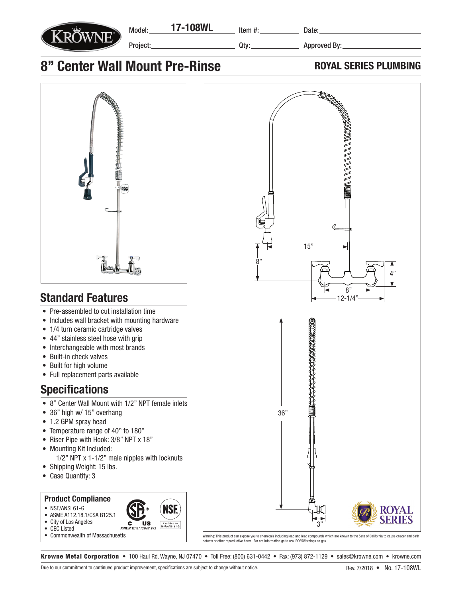

Qty:

15"

**POPPERBURGE** 

8"

Approved By:

8"

12-1/4"

4"

## 8" Center Wall Mount Pre-Rinse **ROYAL SERIES PLUMBING**



## Standard Features

- Pre-assembled to cut installation time
- Includes wall bracket with mounting hardware
- 1/4 turn ceramic cartridge valves
- 44" stainless steel hose with grip
- Interchangeable with most brands
- Built-in check valves
- Built for high volume
- Full replacement parts available

## **Specifications**

- 8" Center Wall Mount with 1/2" NPT female inlets
- 36" high w/ 15" overhang
- 1.2 GPM spray head
- Temperature range of 40° to 180°
- Riser Pipe with Hook: 3/8" NPT x 18"
- Mounting Kit Included: 1/2" NPT x 1-1/2" male nipples with locknuts
- Shipping Weight: 15 lbs.
- Case Quantity: 3

## Product Compliance

- NSF/ANSI 61-G
- ASME A112.18.1/CSA B125.1
- City of Los Angeles
- CEC Listed
- Commonwealth of Massachusetts

Warning: This product can expose you to chemicals including lead and lead compounds which are known to the Sate of California to cause cnacer and birth defects or other reporductive harm. For ore information go to ww. PO65Warnings.ca.gov.

36"

3"

Krowne Metal Corporation • 100 Haul Rd. Wayne, NJ 07470 • Toll Free: (800) 631-0442 • Fax: (973) 872-1129 • sales@krowne.com • krowne.com

**US** 

**C**<br>ASME A112.18

ISI